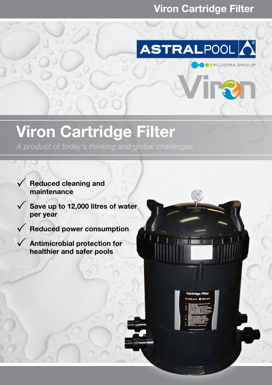## Viron Cartridge Filter



TR.

## Viron Cartridge Filter

*A product of today's thinking and global challenges*

- $\sqrt{\phantom{a}}$  Reduced cleaning and maintenance
- $\sqrt{ }$  Save up to 12,000 litres of water per year
- $\sqrt{\phantom{a}}$  Reduced power consumption
- $\sqrt{\phantom{a}}$  Antimicrobial protection for healthier and safer pools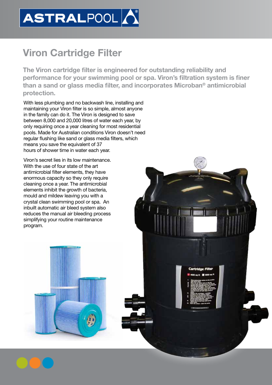

## Viron Cartridge Filter

The Viron cartridge filter is engineered for outstanding reliability and performance for your swimming pool or spa. Viron's filtration system is finer than a sand or glass media filter, and incorporates Microban® antimicrobial protection.

Cartridge Filte

With less plumbing and no backwash line, installing and maintaining your Viron filter is so simple, almost anyone in the family can do it. The Viron is designed to save between 8,000 and 20,000 litres of water each year, by only requiring once a year cleaning for most residential pools. Made for Australian conditions Viron doesn't need regular flushing like sand or glass media filters, which means you save the equivalent of 37 hours of shower time in water each year.

Viron's secret lies in its low maintenance. With the use of four state of the art antimicrobial filter elements, they have enormous capacity so they only require cleaning once a year. The antimicrobial elements inhibit the growth of bacteria, mould and mildew leaving you with a crystal clean swimming pool or spa. An inbuilt automatic air bleed system also reduces the manual air bleeding process simplifying your routine maintenance program.

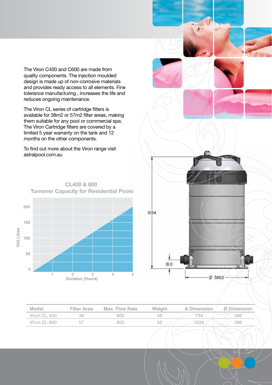The Viron C400 and C600 are made from quality components. The injection moulded design is made up of non-corrosive materials and provides ready access to all elements. Fine tolerance manufacturing , increases the life and reduces ongoing maintenance.

The Viron CL series of cartridge filters is available for 38m2 or 57m2 filter areas, making them suitable for any pool or commercial spa. The Viron Cartridge filters are covered by a limited 5 year warranty on the tank and 12 months on the other components.

To find out more about the Viron range visit astralpool.com.au

**CL400 & 600** 



 $1034$ л 81.0  $Ø586.0$ 

| Model        | <b>Filter Area</b> | <b>Max. Flow Rate</b> | Weight | <b>A Dimension</b> | <b>Dimension</b> |
|--------------|--------------------|-----------------------|--------|--------------------|------------------|
| Viron CL 400 |                    | 800                   | 48     |                    | 586              |
| Viron CL 600 |                    | 800                   | 50     |                    | 586              |